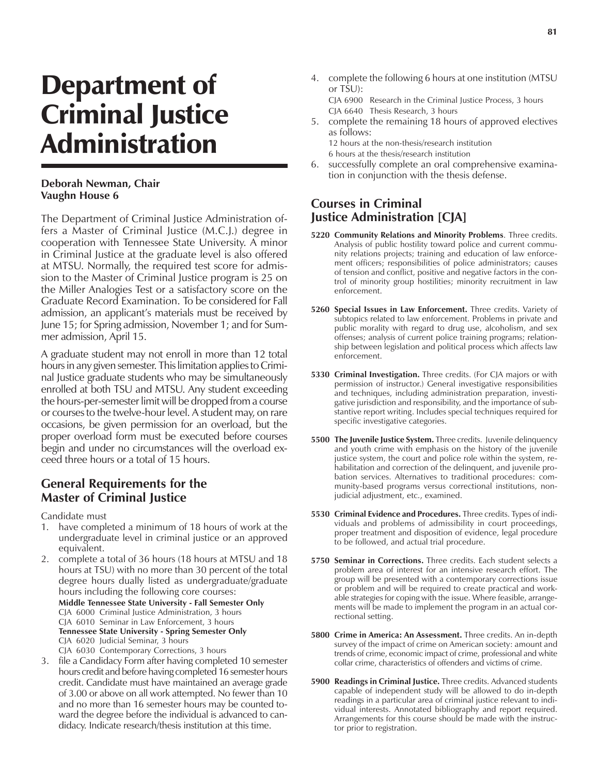## Department of Criminal Justice Administration

## **Deborah Newman, Chair Vaughn House 6**

The Department of Criminal Justice Administration offers a Master of Criminal Justice (M.C.J.) degree in cooperation with Tennessee State University. A minor in Criminal Justice at the graduate level is also offered at MTSU. Normally, the required test score for admission to the Master of Criminal Justice program is 25 on the Miller Analogies Test or a satisfactory score on the Graduate Record Examination. To be considered for Fall admission, an applicant's materials must be received by June 15; for Spring admission, November 1; and for Summer admission, April 15.

A graduate student may not enroll in more than 12 total hours in any given semester. This limitation applies to Criminal Justice graduate students who may be simultaneously enrolled at both TSU and MTSU. Any student exceeding the hours-per-semester limit will be dropped from a course or courses to the twelve-hour level. A student may, on rare occasions, be given permission for an overload, but the proper overload form must be executed before courses begin and under no circumstances will the overload exceed three hours or a total of 15 hours.

## **General Requirements for the Master of Criminal Justice**

Candidate must

- 1. have completed a minimum of 18 hours of work at the undergraduate level in criminal justice or an approved equivalent.
- 2. complete a total of 36 hours (18 hours at MTSU and 18 hours at TSU) with no more than 30 percent of the total degree hours dually listed as undergraduate/graduate hours including the following core courses:
	- **Middle Tennessee State University Fall Semester Only** CJA 6000 Criminal Justice Administration, 3 hours CJA 6010 Seminar in Law Enforcement, 3 hours **Tennessee State University - Spring Semester Only** CJA 6020 Judicial Seminar, 3 hours
	- CJA 6030 Contemporary Corrections, 3 hours
- 3. file a Candidacy Form after having completed 10 semester hours credit and before having completed 16 semester hours credit. Candidate must have maintained an average grade of 3.00 or above on all work attempted. No fewer than 10 and no more than 16 semester hours may be counted toward the degree before the individual is advanced to candidacy. Indicate research/thesis institution at this time.

4. complete the following 6 hours at one institution (MTSU or TSU): CJA 6900 Research in the Criminal Justice Process, 3 hours

CJA 6640 Thesis Research, 3 hours 5. complete the remaining 18 hours of approved electives as follows:

12 hours at the non-thesis/research institution 6 hours at the thesis/research institution

6. successfully complete an oral comprehensive examination in conjunction with the thesis defense.

## **Courses in Criminal Justice Administration [CJA]**

- **5220 Community Relations and Minority Problems**. Three credits. Analysis of public hostility toward police and current community relations projects; training and education of law enforcement officers; responsibilities of police administrators; causes of tension and conflict, positive and negative factors in the control of minority group hostilities; minority recruitment in law enforcement.
- **5260 Special Issues in Law Enforcement.** Three credits. Variety of subtopics related to law enforcement. Problems in private and public morality with regard to drug use, alcoholism, and sex offenses; analysis of current police training programs; relationship between legislation and political process which affects law enforcement.
- **5330 Criminal Investigation.** Three credits. (For CJA majors or with permission of instructor.) General investigative responsibilities and techniques, including administration preparation, investigative jurisdiction and responsibility, and the importance of substantive report writing. Includes special techniques required for specific investigative categories.
- **5500 The Juvenile Justice System.** Three credits. Juvenile delinquency and youth crime with emphasis on the history of the juvenile justice system, the court and police role within the system, rehabilitation and correction of the delinquent, and juvenile probation services. Alternatives to traditional procedures: community-based programs versus correctional institutions, nonjudicial adjustment, etc., examined.
- **5530 Criminal Evidence and Procedures.** Three credits. Types of individuals and problems of admissibility in court proceedings, proper treatment and disposition of evidence, legal procedure to be followed, and actual trial procedure.
- **5750 Seminar in Corrections.** Three credits. Each student selects a problem area of interest for an intensive research effort. The group will be presented with a contemporary corrections issue or problem and will be required to create practical and workable strategies for coping with the issue. Where feasible, arrangements will be made to implement the program in an actual correctional setting.
- **5800 Crime in America: An Assessment.** Three credits. An in-depth survey of the impact of crime on American society: amount and trends of crime, economic impact of crime, professional and white collar crime, characteristics of offenders and victims of crime.
- **5900 Readings in Criminal Justice.** Three credits. Advanced students capable of independent study will be allowed to do in-depth readings in a particular area of criminal justice relevant to individual interests. Annotated bibliography and report required. Arrangements for this course should be made with the instructor prior to registration.